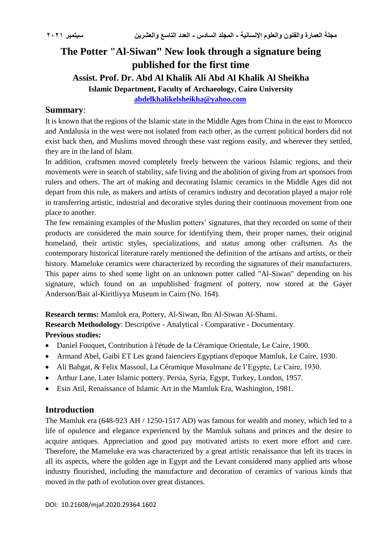# **The Potter "Al-Siwan" New look through a signature being published for the first time Assist. Prof. Dr. Abd Al Khalik Ali Abd Al Khalik Al Sheikha Islamic Department, Faculty of Archaeology, Cairo University [abdelkhalikelsheikha@yahoo.com](mailto:abdelkhalikelsheikha@yahoo.com)**

#### **Summary**:

It is known that the regions of the Islamic state in the Middle Ages from China in the east to Morocco and Andalusia in the west were not isolated from each other, as the current political borders did not exist back then, and Muslims moved through these vast regions easily, and wherever they settled, they are in the land of Islam.

In addition, craftsmen moved completely freely between the various Islamic regions, and their movements were in search of stability, safe living and the abolition of giving from art sponsors from rulers and others. The art of making and decorating Islamic ceramics in the Middle Ages did not depart from this rule, as makers and artists of ceramics industry and decoration played a major role in transferring artistic, industrial and decorative styles during their continuous movement from one place to another.

The few remaining examples of the Muslim potters' signatures, that they recorded on some of their products are considered the main source for identifying them, their proper names, their original homeland, their artistic styles, specializations, and status among other craftsmen. As the contemporary historical literature rarely mentioned the definition of the artisans and artists, or their history. Mameluke ceramics were characterized by recording the signatures of their manufacturers. This paper aims to shed some light on an unknown potter called "Al-Siwan" depending on his signature, which found on an unpublished fragment of pottery, now stored at the Gayer Anderson/Bait al-Kiritliyya Museum in Cairo (No. 164).

**Research terms:** Mamluk era, Pottery, Al-Siwan, Ibn Al-Siwan Al-Shami.

**Research Methodology**: Descriptive - Analytical - Comparative - Documentary. **Previous studies:**

- Daniel Fouquet, Contribution à l'étude de la Céramique Orientale, Le Caire, 1900.
- Armand Abel, Gaibi ET Les grand faienciers Egyptians d'epoque Mamluk, Le Caire, 1930.
- Ali Bahgat, & Felix Massoul, La Céramique Musulmane de l'Egypte, Le Caire, 1930.
- Arthur Lane, Later Islamic pottery. Persia, Syria, Egypt, Turkey, London, 1957.
- Esin Atil, Renaissance of Islamic Art in the Mamluk Era, Washington, 1981.

### **Introduction**

The Mamluk era (648-923 AH / 1250-1517 AD) was famous for wealth and money, which led to a life of opulence and elegance experienced by the Mamluk sultans and princes and the desire to acquire antiques. Appreciation and good pay motivated artists to exert more effort and care. Therefore, the Mameluke era was characterized by a great artistic renaissance that left its traces in all its aspects, where the golden age in Egypt and the Levant considered many applied arts whose industry flourished, including the manufacture and decoration of ceramics of various kinds that moved in the path of evolution over great distances.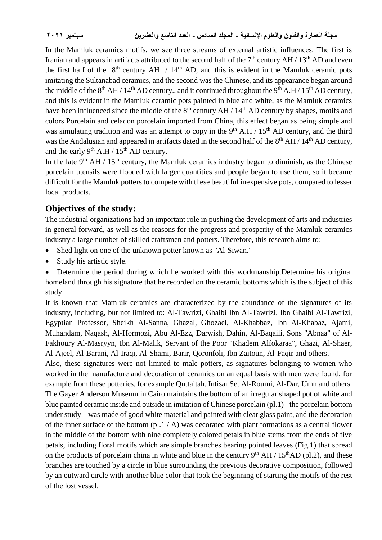In the Mamluk ceramics motifs, we see three streams of external artistic influences. The first is Iranian and appears in artifacts attributed to the second half of the  $7<sup>th</sup>$  century AH / 13<sup>th</sup> AD and even the first half of the  $8<sup>th</sup>$  century AH / 14<sup>th</sup> AD, and this is evident in the Mamluk ceramic pots imitating the Sultanabad ceramics, and the second was the Chinese, and its appearance began around the middle of the  $8<sup>th</sup> AH / 14<sup>th</sup> AD century$ , and it continued throughout the  $9<sup>th</sup> A.H / 15<sup>th</sup> AD century$ , and this is evident in the Mamluk ceramic pots painted in blue and white, as the Mamluk ceramics have been influenced since the middle of the  $8<sup>th</sup>$  century AH / 14<sup>th</sup> AD century by shapes, motifs and colors Porcelain and celadon porcelain imported from China, this effect began as being simple and was simulating tradition and was an attempt to copy in the 9<sup>th</sup> A.H / 15<sup>th</sup> AD century, and the third was the Andalusian and appeared in artifacts dated in the second half of the  $8<sup>th</sup> AH / 14<sup>th</sup> AD$  century, and the early 9<sup>th</sup> A.H /  $15<sup>th</sup>$  AD century.

In the late  $9<sup>th</sup>$  AH / 15<sup>th</sup> century, the Mamluk ceramics industry began to diminish, as the Chinese porcelain utensils were flooded with larger quantities and people began to use them, so it became difficult for the Mamluk potters to compete with these beautiful inexpensive pots, compared to lesser local products.

# **Objectives of the study:**

The industrial organizations had an important role in pushing the development of arts and industries in general forward, as well as the reasons for the progress and prosperity of the Mamluk ceramics industry a large number of skilled craftsmen and potters. Therefore, this research aims to:

- Shed light on one of the unknown potter known as "Al-Siwan."
- Study his artistic style.

 Determine the period during which he worked with this workmanship.Determine his original homeland through his signature that he recorded on the ceramic bottoms which is the subject of this study

It is known that Mamluk ceramics are characterized by the abundance of the signatures of its industry, including, but not limited to: Al-Tawrizi, Ghaibi Ibn Al-Tawrizi, Ibn Ghaibi Al-Tawrizi, Egyptian Professor, Sheikh Al-Sanna, Ghazal, Ghozael, Al-Khabbaz, Ibn Al-Khabaz, Ajami, Muhandam, Naqash, Al-Hormozi, Abu Al-Ezz, Darwish, Dahin, Al-Baqaili, Sons "Abnaa" of Al-Fakhoury Al-Masryyn, Ibn Al-Malik, Servant of the Poor "Khadem Alfokaraa", Ghazi, Al-Shaer, Al-Ajeel, Al-Barani, Al-Iraqi, Al-Shami, Barir, Qoronfoli, Ibn Zaitoun, Al-Faqir and others.

Also, these signatures were not limited to male potters, as signatures belonging to women who worked in the manufacture and decoration of ceramics on an equal basis with men were found, for example from these potteries, for example Quttaitah, Intisar Set Al-Roumi, Al-Dar, Umn and others. The Gayer Anderson Museum in Cairo maintains the bottom of an irregular shaped pot of white and blue painted ceramic inside and outside in imitation of Chinese porcelain (pl.1) - the porcelain bottom under study – was made of good white material and painted with clear glass paint, and the decoration of the inner surface of the bottom  $\left(\frac{p!1}{A}\right)$  was decorated with plant formations as a central flower in the middle of the bottom with nine completely colored petals in blue stems from the ends of five petals, including floral motifs which are simple branches bearing pointed leaves (Fig.1) that spread on the products of porcelain china in white and blue in the century  $9<sup>th</sup> AH / 15<sup>th</sup>AD$  (pl.2), and these branches are touched by a circle in blue surrounding the previous decorative composition, followed by an outward circle with another blue color that took the beginning of starting the motifs of the rest of the lost vessel.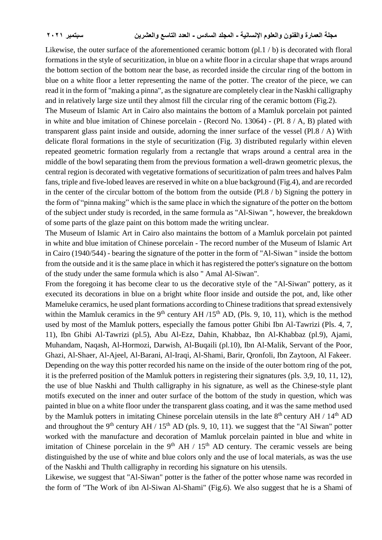Likewise, the outer surface of the aforementioned ceramic bottom (pl.1 / b) is decorated with floral formations in the style of securitization, in blue on a white floor in a circular shape that wraps around the bottom section of the bottom near the base, as recorded inside the circular ring of the bottom in blue on a white floor a letter representing the name of the potter. The creator of the piece, we can read it in the form of "making a pinna", as the signature are completely clear in the Naskhi calligraphy and in relatively large size until they almost fill the circular ring of the ceramic bottom (Fig.2).

The Museum of Islamic Art in Cairo also maintains the bottom of a Mamluk porcelain pot painted in white and blue imitation of Chinese porcelain - (Record No. 13064) - (Pl. 8 / A, B) plated with transparent glass paint inside and outside, adorning the inner surface of the vessel (Pl.8 / A) With delicate floral formations in the style of securitization (Fig. 3) distributed regularly within eleven repeated geometric formation regularly from a rectangle that wraps around a central area in the middle of the bowl separating them from the previous formation a well-drawn geometric plexus, the central region is decorated with vegetative formations of securitization of palm trees and halves Palm fans, triple and five-lobed leaves are reserved in white on a blue background (Fig.4), and are recorded in the center of the circular bottom of the bottom from the outside (Pl.8 / b) Signing the pottery in the form of "pinna making" which is the same place in which the signature of the potter on the bottom of the subject under study is recorded, in the same formula as "Al-Siwan ", however, the breakdown of some parts of the glaze paint on this bottom made the writing unclear.

The Museum of Islamic Art in Cairo also maintains the bottom of a Mamluk porcelain pot painted in white and blue imitation of Chinese porcelain - The record number of the Museum of Islamic Art in Cairo (1940/544) - bearing the signature of the potter in the form of "Al-Siwan " inside the bottom from the outside and it is the same place in which it has registered the potter's signature on the bottom of the study under the same formula which is also " Amal Al-Siwan".

From the foregoing it has become clear to us the decorative style of the "Al-Siwan" pottery, as it executed its decorations in blue on a bright white floor inside and outside the pot, and, like other Mameluke ceramics, he used plant formations according to Chinese traditions that spread extensively within the Mamluk ceramics in the 9<sup>th</sup> century AH  $/15<sup>th</sup>$  AD, (Pls. 9, 10, 11), which is the method used by most of the Mamluk potters, especially the famous potter Ghibi Ibn Al-Tawrizi (Pls. 4, 7, 11), Ibn Ghibi Al-Tawrizi (pl.5), Abu Al-Ezz, Dahin, Khabbaz, Ibn Al-Khabbaz (pl.9), Ajami, Muhandam, Naqash, Al-Hormozi, Darwish, Al-Buqaili (pl.10), Ibn Al-Malik, Servant of the Poor, Ghazi, Al-Shaer, Al-Ajeel, Al-Barani, Al-Iraqi, Al-Shami, Barir, Qronfoli, Ibn Zaytoon, Al Fakeer. Depending on the way this potter recorded his name on the inside of the outer bottom ring of the pot, it is the preferred position of the Mamluk potters in registering their signatures (pls. 3,9, 10, 11, 12), the use of blue Naskhi and Thulth calligraphy in his signature, as well as the Chinese-style plant motifs executed on the inner and outer surface of the bottom of the study in question, which was painted in blue on a white floor under the transparent glass coating, and it was the same method used by the Mamluk potters in imitating Chinese porcelain utensils in the late  $8<sup>th</sup>$  century AH / 14<sup>th</sup> AD and throughout the 9<sup>th</sup> century AH / 15<sup>th</sup> AD (pls. 9, 10, 11). we suggest that the "Al Siwan" potter worked with the manufacture and decoration of Mamluk porcelain painted in blue and white in imitation of Chinese porcelain in the  $9<sup>th</sup> AH / 15<sup>th</sup> AD$  century. The ceramic vessels are being distinguished by the use of white and blue colors only and the use of local materials, as was the use of the Naskhi and Thulth calligraphy in recording his signature on his utensils.

Likewise, we suggest that "Al-Siwan" potter is the father of the potter whose name was recorded in the form of "The Work of ibn Al-Siwan Al-Shami" (Fig.6). We also suggest that he is a Shami of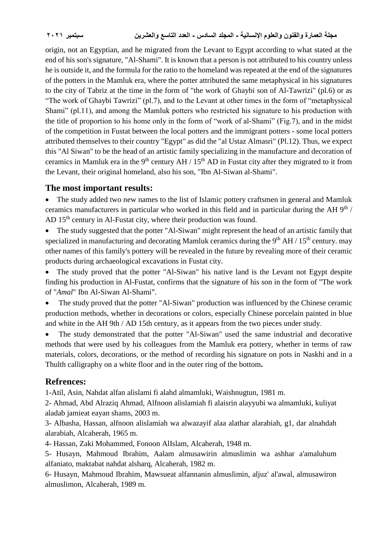origin, not an Egyptian, and he migrated from the Levant to Egypt according to what stated at the end of his son's signature, "Al-Shami". It is known that a person is not attributed to his country unless he is outside it, and the formula for the ratio to the homeland was repeated at the end of the signatures of the potters in the Mamluk era, where the potter attributed the same metaphysical in his signatures to the city of Tabriz at the time in the form of "the work of Ghaybi son of Al-Tawrizi" (pl.6) or as "The work of Ghaybi Tawrizi" (pl.7), and to the Levant at other times in the form of "metaphysical Shami" (pl.11), and among the Mamluk potters who restricted his signature to his production with the title of proportion to his home only in the form of "work of al-Shami" (Fig.7), and in the midst of the competition in Fustat between the local potters and the immigrant potters - some local potters attributed themselves to their country "Egypt" as did the "al Ustaz Almasri" (Pl.12). Thus, we expect this "Al Siwan" to be the head of an artistic family specializing in the manufacture and decoration of ceramics in Mamluk era in the 9<sup>th</sup> century AH /  $15<sup>th</sup>$  AD in Fustat city after they migrated to it from the Levant, their original homeland, also his son, "Ibn Al-Siwan al-Shami".

## **The most important results:**

• The study added two new names to the list of Islamic pottery craftsmen in general and Mamluk ceramics manufacturers in particular who worked in this field and in particular during the AH  $9<sup>th</sup>$  / AD 15<sup>th</sup> century in Al-Fustat city, where their production was found.

 The study suggested that the potter "Al-Siwan" might represent the head of an artistic family that specialized in manufacturing and decorating Mamluk ceramics during the  $9<sup>th</sup> AH / 15<sup>th</sup>$  century. may other names of this family's pottery will be revealed in the future by revealing more of their ceramic products during archaeological excavations in Fustat city.

• The study proved that the potter "Al-Siwan" his native land is the Levant not Egypt despite finding his production in Al-Fustat, confirms that the signature of his son in the form of "The work of "*Amal*" Ibn Al-Siwan Al-Shami".

• The study proved that the potter "Al-Siwan" production was influenced by the Chinese ceramic production methods, whether in decorations or colors, especially Chinese porcelain painted in blue and white in the AH 9th / AD 15th century, as it appears from the two pieces under study.

 The study demonstrated that the potter "Al-Siwan" used the same industrial and decorative methods that were used by his colleagues from the Mamluk era pottery, whether in terms of raw materials, colors, decorations, or the method of recording his signature on pots in Naskhi and in a Thulth calligraphy on a white floor and in the outer ring of the bottom**.**

## **Refrences:**

1-Atil, Asin, Nahdat alfan alislami fi alahd almamluki, Waishnugtun, 1981 m.

2- Ahmad, Abd Alraziq Ahmad, Alfnoon alislamiah fi alaisrin alayyubi wa almamluki, kuliyat aladab jamieat eayan shams, 2003 m.

3- Albasha, Hassan, alfnoon alislamiah wa alwazayif alaa alathar alarabiah, g1, dar alnahdah alarabiah, Alcaherah, 1965 m.

4- Hassan, Zaki Mohammed, Fonoon AlIslam, Alcaherah, 1948 m.

5- Husayn, Mahmoud Ibrahim, Aalam almusawirin almuslimin wa ashhar a'amaluhum alfaniato, maktabat nahdat alsharq, Alcaherah, 1982 m.

6- Husayn, Mahmoud Ibrahim, Mawsueat alfannanin almuslimin, aljuz' al'awal, almusawiron almuslimon, Alcaherah, 1989 m.